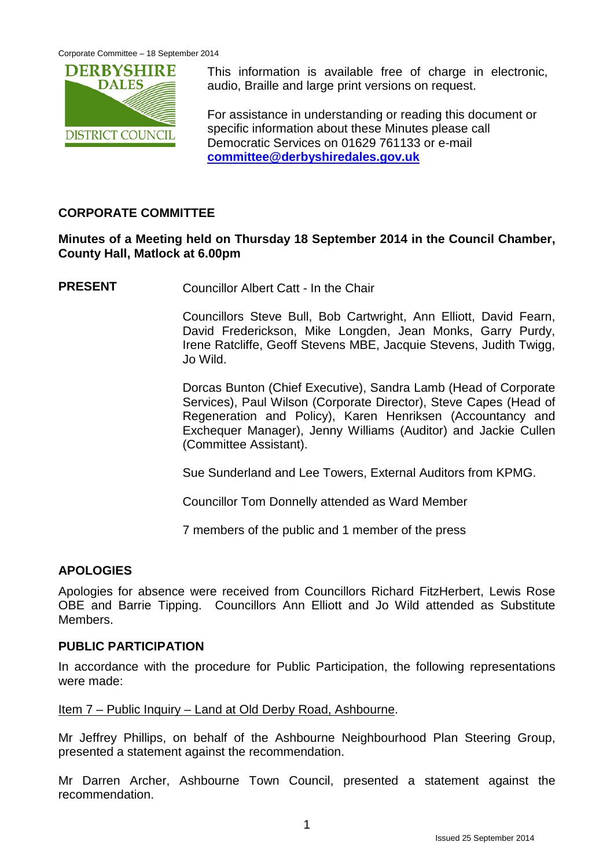

This information is available free of charge in electronic, audio, Braille and large print versions on request.

For assistance in understanding or reading this document or specific information about these Minutes please call Democratic Services on 01629 761133 or e-mail **[committee@derbyshiredales.gov.uk](mailto:committee@derbyshiredales.gov.uk)**

# **CORPORATE COMMITTEE**

## **Minutes of a Meeting held on Thursday 18 September 2014 in the Council Chamber, County Hall, Matlock at 6.00pm**

**PRESENT** Councillor Albert Catt - In the Chair

Councillors Steve Bull, Bob Cartwright, Ann Elliott, David Fearn, David Frederickson, Mike Longden, Jean Monks, Garry Purdy, Irene Ratcliffe, Geoff Stevens MBE, Jacquie Stevens, Judith Twigg, Jo Wild.

Dorcas Bunton (Chief Executive), Sandra Lamb (Head of Corporate Services), Paul Wilson (Corporate Director), Steve Capes (Head of Regeneration and Policy), Karen Henriksen (Accountancy and Exchequer Manager), Jenny Williams (Auditor) and Jackie Cullen (Committee Assistant).

Sue Sunderland and Lee Towers, External Auditors from KPMG.

Councillor Tom Donnelly attended as Ward Member

7 members of the public and 1 member of the press

## **APOLOGIES**

Apologies for absence were received from Councillors Richard FitzHerbert, Lewis Rose OBE and Barrie Tipping. Councillors Ann Elliott and Jo Wild attended as Substitute Members.

#### **PUBLIC PARTICIPATION**

In accordance with the procedure for Public Participation, the following representations were made:

Item 7 – Public Inquiry – Land at Old Derby Road, Ashbourne.

Mr Jeffrey Phillips, on behalf of the Ashbourne Neighbourhood Plan Steering Group, presented a statement against the recommendation.

Mr Darren Archer, Ashbourne Town Council, presented a statement against the recommendation.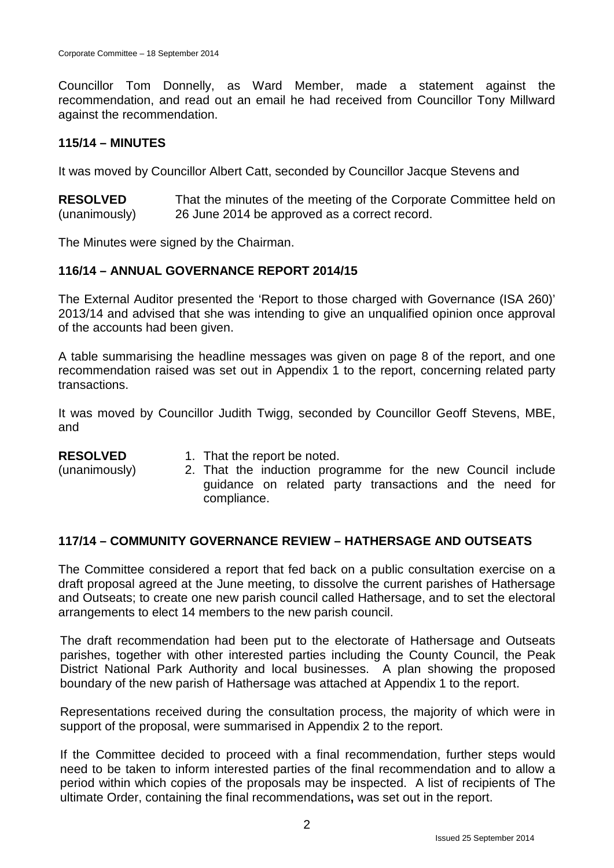Councillor Tom Donnelly, as Ward Member, made a statement against the recommendation, and read out an email he had received from Councillor Tony Millward against the recommendation.

#### **115/14 – MINUTES**

It was moved by Councillor Albert Catt, seconded by Councillor Jacque Stevens and

**RESOLVED** (unanimously) That the minutes of the meeting of the Corporate Committee held on 26 June 2014 be approved as a correct record.

The Minutes were signed by the Chairman.

## **116/14 – ANNUAL GOVERNANCE REPORT 2014/15**

The External Auditor presented the 'Report to those charged with Governance (ISA 260)' 2013/14 and advised that she was intending to give an unqualified opinion once approval of the accounts had been given.

A table summarising the headline messages was given on page 8 of the report, and one recommendation raised was set out in Appendix 1 to the report, concerning related party transactions.

It was moved by Councillor Judith Twigg, seconded by Councillor Geoff Stevens, MBE, and

#### **RESOLVED**

- 1. That the report be noted.
- (unanimously)
- 2. That the induction programme for the new Council include guidance on related party transactions and the need for compliance.

## **117/14 – COMMUNITY GOVERNANCE REVIEW – HATHERSAGE AND OUTSEATS**

The Committee considered a report that fed back on a public consultation exercise on a draft proposal agreed at the June meeting, to dissolve the current parishes of Hathersage and Outseats; to create one new parish council called Hathersage, and to set the electoral arrangements to elect 14 members to the new parish council.

The draft recommendation had been put to the electorate of Hathersage and Outseats parishes, together with other interested parties including the County Council, the Peak District National Park Authority and local businesses. A plan showing the proposed boundary of the new parish of Hathersage was attached at Appendix 1 to the report.

Representations received during the consultation process, the majority of which were in support of the proposal, were summarised in Appendix 2 to the report.

If the Committee decided to proceed with a final recommendation, further steps would need to be taken to inform interested parties of the final recommendation and to allow a period within which copies of the proposals may be inspected. A list of recipients of The ultimate Order, containing the final recommendations**,** was set out in the report.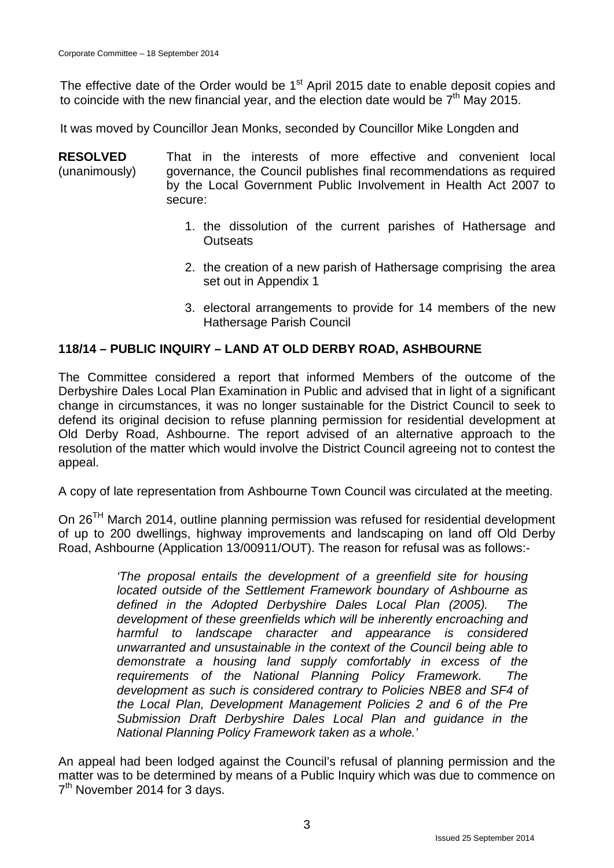The effective date of the Order would be 1<sup>st</sup> April 2015 date to enable deposit copies and to coincide with the new financial year, and the election date would be  $7<sup>th</sup>$  May 2015.

It was moved by Councillor Jean Monks, seconded by Councillor Mike Longden and

**RESOLVED** (unanimously) That in the interests of more effective and convenient local governance, the Council publishes final recommendations as required by the Local Government Public Involvement in Health Act 2007 to secure:

- 1. the dissolution of the current parishes of Hathersage and **Outseats**
- 2. the creation of a new parish of Hathersage comprising the area set out in Appendix 1
- 3. electoral arrangements to provide for 14 members of the new Hathersage Parish Council

#### **118/14 – PUBLIC INQUIRY – LAND AT OLD DERBY ROAD, ASHBOURNE**

The Committee considered a report that informed Members of the outcome of the Derbyshire Dales Local Plan Examination in Public and advised that in light of a significant change in circumstances, it was no longer sustainable for the District Council to seek to defend its original decision to refuse planning permission for residential development at Old Derby Road, Ashbourne. The report advised of an alternative approach to the resolution of the matter which would involve the District Council agreeing not to contest the appeal.

A copy of late representation from Ashbourne Town Council was circulated at the meeting.

On 26TH March 2014, outline planning permission was refused for residential development of up to 200 dwellings, highway improvements and landscaping on land off Old Derby Road, Ashbourne (Application 13/00911/OUT). The reason for refusal was as follows:-

> *'The proposal entails the development of a greenfield site for housing located outside of the Settlement Framework boundary of Ashbourne as defined in the Adopted Derbyshire Dales Local Plan (2005). The development of these greenfields which will be inherently encroaching and harmful to landscape character and appearance is considered unwarranted and unsustainable in the context of the Council being able to demonstrate a housing land supply comfortably in excess of the requirements of the National Planning Policy Framework. The development as such is considered contrary to Policies NBE8 and SF4 of the Local Plan, Development Management Policies 2 and 6 of the Pre Submission Draft Derbyshire Dales Local Plan and guidance in the National Planning Policy Framework taken as a whole.'*

An appeal had been lodged against the Council's refusal of planning permission and the matter was to be determined by means of a Public Inquiry which was due to commence on 7<sup>th</sup> November 2014 for 3 days.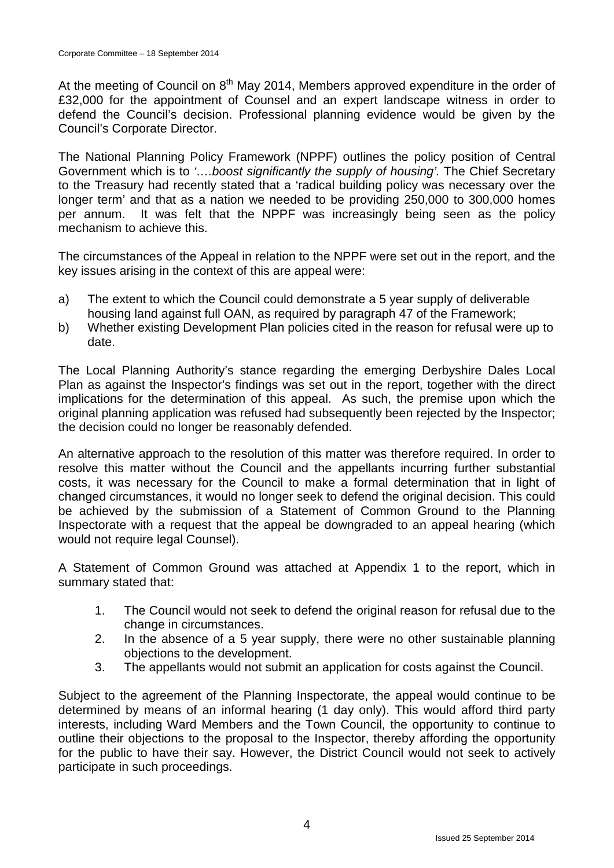At the meeting of Council on  $8<sup>th</sup>$  May 2014, Members approved expenditure in the order of £32,000 for the appointment of Counsel and an expert landscape witness in order to defend the Council's decision. Professional planning evidence would be given by the Council's Corporate Director.

The National Planning Policy Framework (NPPF) outlines the policy position of Central Government which is to *'….boost significantly the supply of housing'.* The Chief Secretary to the Treasury had recently stated that a 'radical building policy was necessary over the longer term' and that as a nation we needed to be providing 250,000 to 300,000 homes per annum. It was felt that the NPPF was increasingly being seen as the policy mechanism to achieve this.

The circumstances of the Appeal in relation to the NPPF were set out in the report, and the key issues arising in the context of this are appeal were:

- a) The extent to which the Council could demonstrate a 5 year supply of deliverable housing land against full OAN, as required by paragraph 47 of the Framework;
- b) Whether existing Development Plan policies cited in the reason for refusal were up to date.

The Local Planning Authority's stance regarding the emerging Derbyshire Dales Local Plan as against the Inspector's findings was set out in the report, together with the direct implications for the determination of this appeal. As such, the premise upon which the original planning application was refused had subsequently been rejected by the Inspector; the decision could no longer be reasonably defended.

An alternative approach to the resolution of this matter was therefore required. In order to resolve this matter without the Council and the appellants incurring further substantial costs, it was necessary for the Council to make a formal determination that in light of changed circumstances, it would no longer seek to defend the original decision. This could be achieved by the submission of a Statement of Common Ground to the Planning Inspectorate with a request that the appeal be downgraded to an appeal hearing (which would not require legal Counsel).

A Statement of Common Ground was attached at Appendix 1 to the report, which in summary stated that:

- 1. The Council would not seek to defend the original reason for refusal due to the change in circumstances.
- 2. In the absence of a 5 year supply, there were no other sustainable planning objections to the development.
- 3. The appellants would not submit an application for costs against the Council.

Subject to the agreement of the Planning Inspectorate, the appeal would continue to be determined by means of an informal hearing (1 day only). This would afford third party interests, including Ward Members and the Town Council, the opportunity to continue to outline their objections to the proposal to the Inspector, thereby affording the opportunity for the public to have their say. However, the District Council would not seek to actively participate in such proceedings.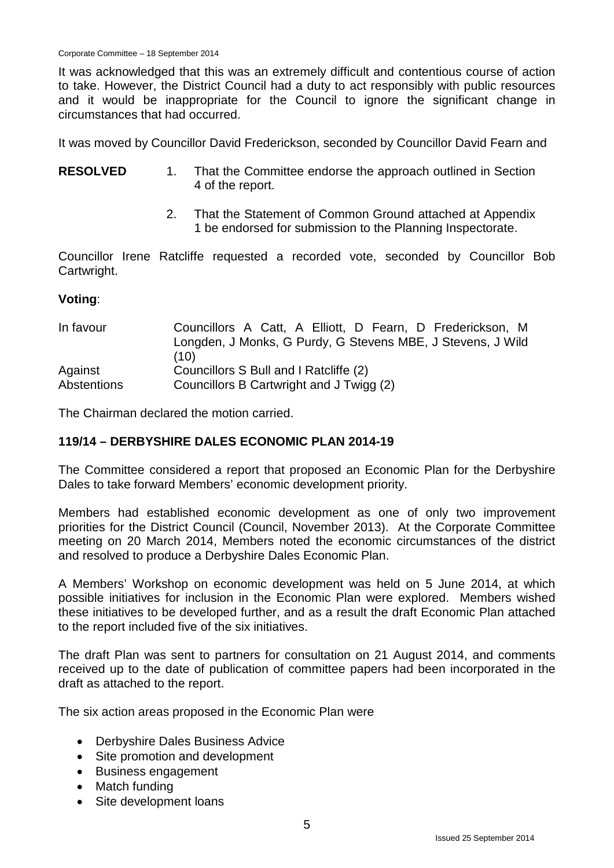It was acknowledged that this was an extremely difficult and contentious course of action to take. However, the District Council had a duty to act responsibly with public resources and it would be inappropriate for the Council to ignore the significant change in circumstances that had occurred.

It was moved by Councillor David Frederickson, seconded by Councillor David Fearn and

- **RESOLVED** 1. That the Committee endorse the approach outlined in Section 4 of the report.
	- 2. That the Statement of Common Ground attached at Appendix 1 be endorsed for submission to the Planning Inspectorate.

Councillor Irene Ratcliffe requested a recorded vote, seconded by Councillor Bob Cartwright.

#### **Voting**:

| In favour          | Councillors A Catt, A Elliott, D Fearn, D Frederickson, M   |
|--------------------|-------------------------------------------------------------|
|                    | Longden, J Monks, G Purdy, G Stevens MBE, J Stevens, J Wild |
|                    | (10)                                                        |
| Against            | Councillors S Bull and I Ratcliffe (2)                      |
| <b>Abstentions</b> | Councillors B Cartwright and J Twigg (2)                    |

The Chairman declared the motion carried.

#### **119/14 – DERBYSHIRE DALES ECONOMIC PLAN 2014-19**

The Committee considered a report that proposed an Economic Plan for the Derbyshire Dales to take forward Members' economic development priority.

Members had established economic development as one of only two improvement priorities for the District Council (Council, November 2013). At the Corporate Committee meeting on 20 March 2014, Members noted the economic circumstances of the district and resolved to produce a Derbyshire Dales Economic Plan.

A Members' Workshop on economic development was held on 5 June 2014, at which possible initiatives for inclusion in the Economic Plan were explored. Members wished these initiatives to be developed further, and as a result the draft Economic Plan attached to the report included five of the six initiatives.

The draft Plan was sent to partners for consultation on 21 August 2014, and comments received up to the date of publication of committee papers had been incorporated in the draft as attached to the report.

The six action areas proposed in the Economic Plan were

- Derbyshire Dales Business Advice
- Site promotion and development
- Business engagement
- Match funding
- Site development loans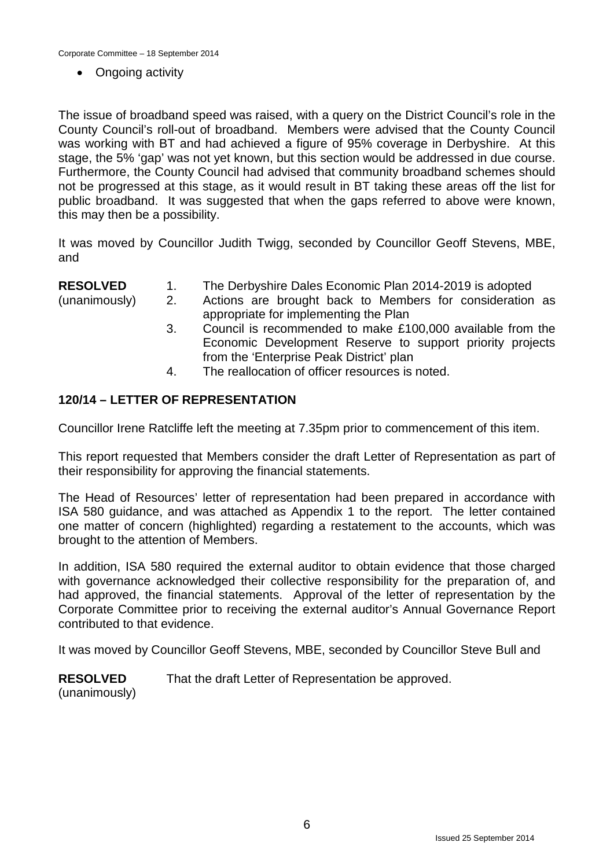Corporate Committee – 18 September 2014

• Ongoing activity

The issue of broadband speed was raised, with a query on the District Council's role in the County Council's roll-out of broadband. Members were advised that the County Council was working with BT and had achieved a figure of 95% coverage in Derbyshire. At this stage, the 5% 'gap' was not yet known, but this section would be addressed in due course. Furthermore, the County Council had advised that community broadband schemes should not be progressed at this stage, as it would result in BT taking these areas off the list for public broadband. It was suggested that when the gaps referred to above were known, this may then be a possibility.

It was moved by Councillor Judith Twigg, seconded by Councillor Geoff Stevens, MBE, and

**RESOLVED** 1. The Derbyshire Dales Economic Plan 2014-2019 is adopted

(unanimously)

- 2. Actions are brought back to Members for consideration as
- appropriate for implementing the Plan
	- 3. Council is recommended to make £100,000 available from the Economic Development Reserve to support priority projects from the 'Enterprise Peak District' plan
	- 4. The reallocation of officer resources is noted.

# **120/14 – LETTER OF REPRESENTATION**

Councillor Irene Ratcliffe left the meeting at 7.35pm prior to commencement of this item.

This report requested that Members consider the draft Letter of Representation as part of their responsibility for approving the financial statements.

The Head of Resources' letter of representation had been prepared in accordance with ISA 580 guidance, and was attached as Appendix 1 to the report. The letter contained one matter of concern (highlighted) regarding a restatement to the accounts, which was brought to the attention of Members.

In addition, ISA 580 required the external auditor to obtain evidence that those charged with governance acknowledged their collective responsibility for the preparation of, and had approved, the financial statements. Approval of the letter of representation by the Corporate Committee prior to receiving the external auditor's Annual Governance Report contributed to that evidence.

It was moved by Councillor Geoff Stevens, MBE, seconded by Councillor Steve Bull and

**RESOLVED** (unanimously) That the draft Letter of Representation be approved.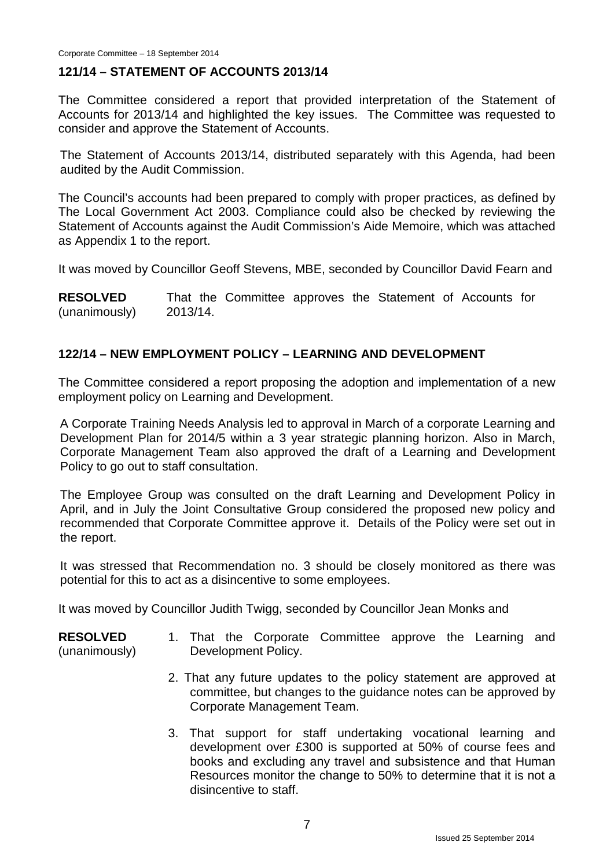#### **121/14 – STATEMENT OF ACCOUNTS 2013/14**

The Committee considered a report that provided interpretation of the Statement of Accounts for 2013/14 and highlighted the key issues. The Committee was requested to consider and approve the Statement of Accounts.

The Statement of Accounts 2013/14, distributed separately with this Agenda, had been audited by the Audit Commission.

The Council's accounts had been prepared to comply with proper practices, as defined by The Local Government Act 2003. Compliance could also be checked by reviewing the Statement of Accounts against the Audit Commission's Aide Memoire, which was attached as Appendix 1 to the report.

It was moved by Councillor Geoff Stevens, MBE, seconded by Councillor David Fearn and

**RESOLVED** (unanimously) That the Committee approves the Statement of Accounts for 2013/14.

## **122/14 – NEW EMPLOYMENT POLICY – LEARNING AND DEVELOPMENT**

The Committee considered a report proposing the adoption and implementation of a new employment policy on Learning and Development.

A Corporate Training Needs Analysis led to approval in March of a corporate Learning and Development Plan for 2014/5 within a 3 year strategic planning horizon. Also in March, Corporate Management Team also approved the draft of a Learning and Development Policy to go out to staff consultation.

The Employee Group was consulted on the draft Learning and Development Policy in April, and in July the Joint Consultative Group considered the proposed new policy and recommended that Corporate Committee approve it. Details of the Policy were set out in the report.

It was stressed that Recommendation no. 3 should be closely monitored as there was potential for this to act as a disincentive to some employees.

It was moved by Councillor Judith Twigg, seconded by Councillor Jean Monks and

## **RESOLVED**

(unanimously)

- 1. That the Corporate Committee approve the Learning and Development Policy.
- 2. That any future updates to the policy statement are approved at committee, but changes to the guidance notes can be approved by Corporate Management Team.
- 3. That support for staff undertaking vocational learning and development over £300 is supported at 50% of course fees and books and excluding any travel and subsistence and that Human Resources monitor the change to 50% to determine that it is not a disincentive to staff.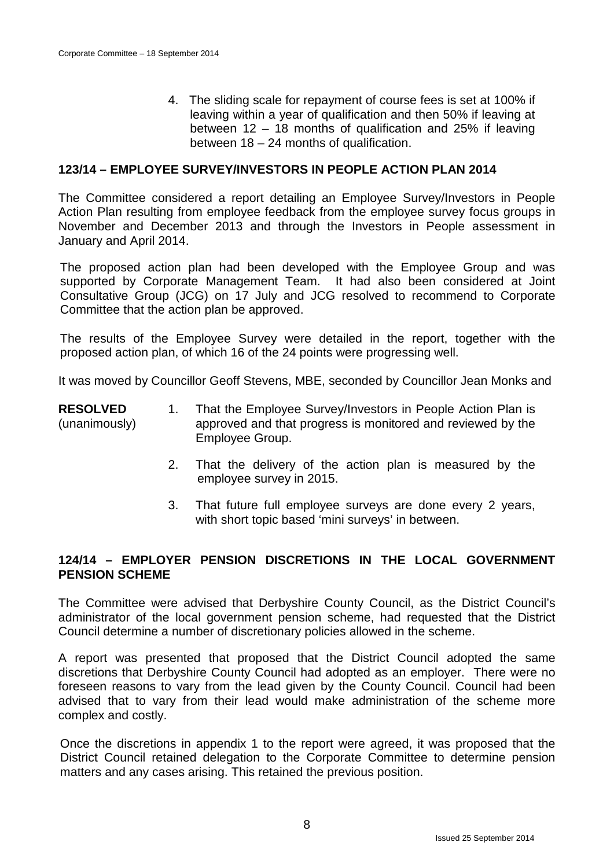4. The sliding scale for repayment of course fees is set at 100% if leaving within a year of qualification and then 50% if leaving at between 12 – 18 months of qualification and 25% if leaving between 18 – 24 months of qualification.

#### **123/14 – EMPLOYEE SURVEY/INVESTORS IN PEOPLE ACTION PLAN 2014**

The Committee considered a report detailing an Employee Survey/Investors in People Action Plan resulting from employee feedback from the employee survey focus groups in November and December 2013 and through the Investors in People assessment in January and April 2014.

The proposed action plan had been developed with the Employee Group and was supported by Corporate Management Team. It had also been considered at Joint Consultative Group (JCG) on 17 July and JCG resolved to recommend to Corporate Committee that the action plan be approved.

The results of the Employee Survey were detailed in the report, together with the proposed action plan, of which 16 of the 24 points were progressing well.

It was moved by Councillor Geoff Stevens, MBE, seconded by Councillor Jean Monks and

- **RESOLVED** (unanimously) 1. That the Employee Survey/Investors in People Action Plan is approved and that progress is monitored and reviewed by the Employee Group.
	- 2. That the delivery of the action plan is measured by the employee survey in 2015.
	- 3. That future full employee surveys are done every 2 years, with short topic based 'mini surveys' in between.

#### **124/14 – EMPLOYER PENSION DISCRETIONS IN THE LOCAL GOVERNMENT PENSION SCHEME**

The Committee were advised that Derbyshire County Council, as the District Council's administrator of the local government pension scheme, had requested that the District Council determine a number of discretionary policies allowed in the scheme.

A report was presented that proposed that the District Council adopted the same discretions that Derbyshire County Council had adopted as an employer. There were no foreseen reasons to vary from the lead given by the County Council. Council had been advised that to vary from their lead would make administration of the scheme more complex and costly.

Once the discretions in appendix 1 to the report were agreed, it was proposed that the District Council retained delegation to the Corporate Committee to determine pension matters and any cases arising. This retained the previous position.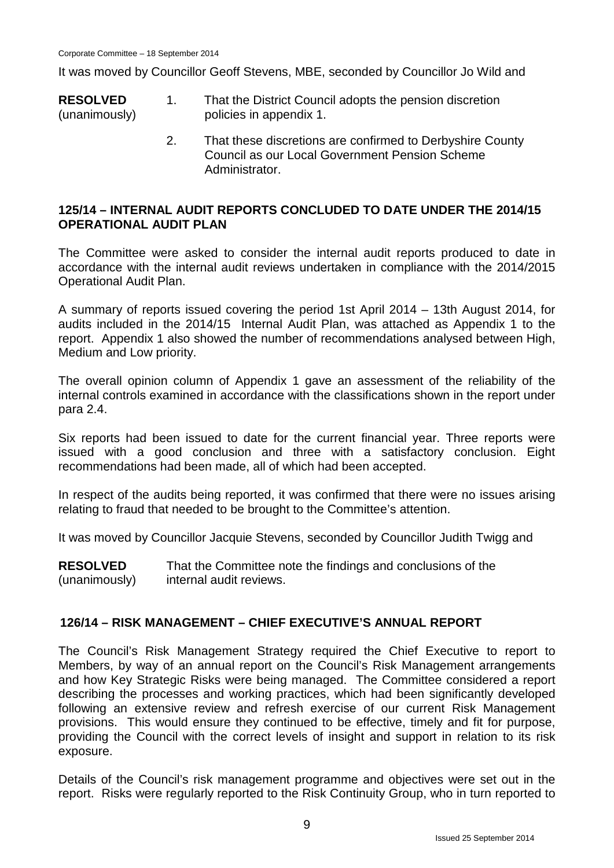It was moved by Councillor Geoff Stevens, MBE, seconded by Councillor Jo Wild and

- **RESOLVED** (unanimously) 1. That the District Council adopts the pension discretion policies in appendix 1.
	- 2. That these discretions are confirmed to Derbyshire County Council as our Local Government Pension Scheme **Administrator**

## **125/14 – INTERNAL AUDIT REPORTS CONCLUDED TO DATE UNDER THE 2014/15 OPERATIONAL AUDIT PLAN**

The Committee were asked to consider the internal audit reports produced to date in accordance with the internal audit reviews undertaken in compliance with the 2014/2015 Operational Audit Plan.

A summary of reports issued covering the period 1st April 2014 – 13th August 2014, for audits included in the 2014/15 Internal Audit Plan, was attached as Appendix 1 to the report. Appendix 1 also showed the number of recommendations analysed between High, Medium and Low priority.

The overall opinion column of Appendix 1 gave an assessment of the reliability of the internal controls examined in accordance with the classifications shown in the report under para 2.4.

Six reports had been issued to date for the current financial year. Three reports were issued with a good conclusion and three with a satisfactory conclusion. Eight recommendations had been made, all of which had been accepted.

In respect of the audits being reported, it was confirmed that there were no issues arising relating to fraud that needed to be brought to the Committee's attention.

It was moved by Councillor Jacquie Stevens, seconded by Councillor Judith Twigg and

**RESOLVED** (unanimously) That the Committee note the findings and conclusions of the internal audit reviews.

## **126/14 – RISK MANAGEMENT – CHIEF EXECUTIVE'S ANNUAL REPORT**

The Council's Risk Management Strategy required the Chief Executive to report to Members, by way of an annual report on the Council's Risk Management arrangements and how Key Strategic Risks were being managed. The Committee considered a report describing the processes and working practices, which had been significantly developed following an extensive review and refresh exercise of our current Risk Management provisions. This would ensure they continued to be effective, timely and fit for purpose, providing the Council with the correct levels of insight and support in relation to its risk exposure.

Details of the Council's risk management programme and objectives were set out in the report. Risks were regularly reported to the Risk Continuity Group, who in turn reported to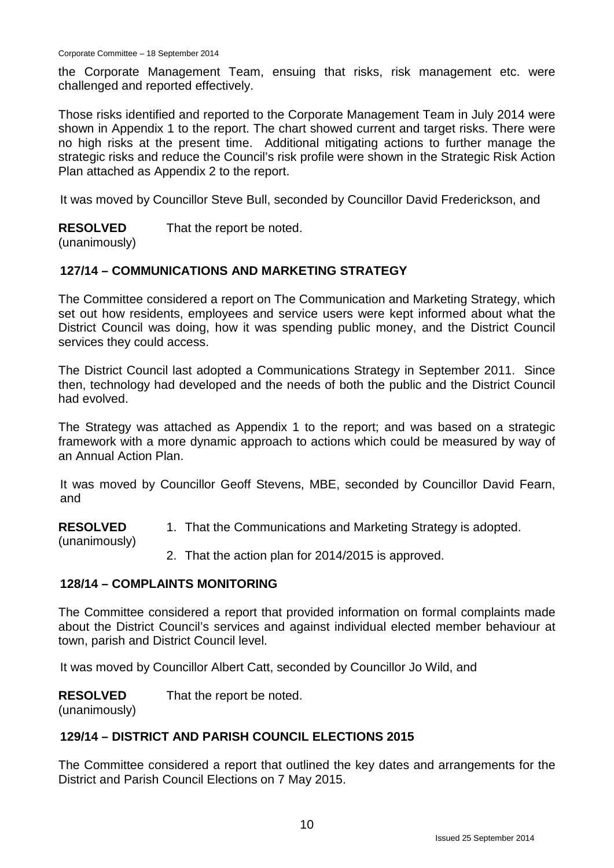the Corporate Management Team, ensuing that risks, risk management etc. were challenged and reported effectively.

Those risks identified and reported to the Corporate Management Team in July 2014 were shown in Appendix 1 to the report. The chart showed current and target risks. There were no high risks at the present time. Additional mitigating actions to further manage the strategic risks and reduce the Council's risk profile were shown in the Strategic Risk Action Plan attached as Appendix 2 to the report.

It was moved by Councillor Steve Bull, seconded by Councillor David Frederickson, and

#### **RESOLVED** That the report be noted.

(unanimously)

# **127/14 – COMMUNICATIONS AND MARKETING STRATEGY**

The Committee considered a report on The Communication and Marketing Strategy, which set out how residents, employees and service users were kept informed about what the District Council was doing, how it was spending public money, and the District Council services they could access.

The District Council last adopted a Communications Strategy in September 2011. Since then, technology had developed and the needs of both the public and the District Council had evolved.

The Strategy was attached as Appendix 1 to the report; and was based on a strategic framework with a more dynamic approach to actions which could be measured by way of an Annual Action Plan.

It was moved by Councillor Geoff Stevens, MBE, seconded by Councillor David Fearn, and

**RESOLVED** 1. That the Communications and Marketing Strategy is adopted.

2. That the action plan for 2014/2015 is approved.

## **128/14 – COMPLAINTS MONITORING**

The Committee considered a report that provided information on formal complaints made about the District Council's services and against individual elected member behaviour at town, parish and District Council level.

It was moved by Councillor Albert Catt, seconded by Councillor Jo Wild, and

**RESOLVED** That the report be noted.

(unanimously)

(unanimously)

## **129/14 – DISTRICT AND PARISH COUNCIL ELECTIONS 2015**

The Committee considered a report that outlined the key dates and arrangements for the District and Parish Council Elections on 7 May 2015.